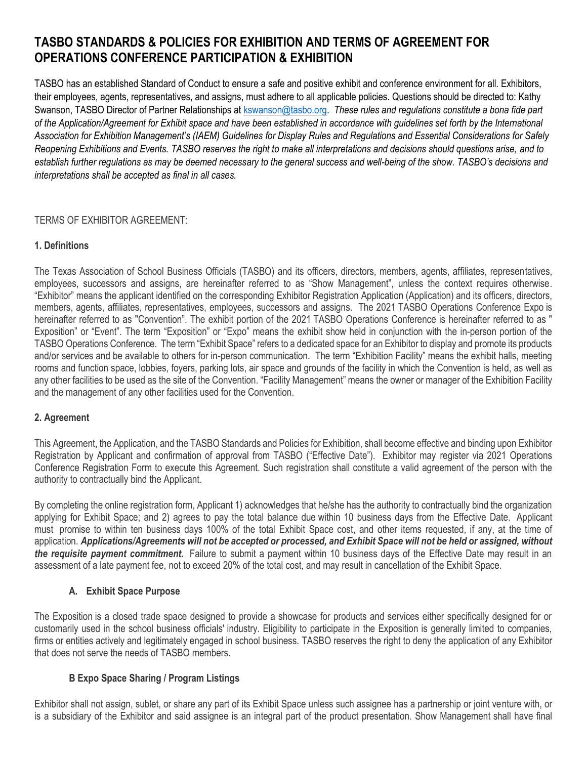# **TASBO STANDARDS & POLICIES FOR EXHIBITION AND TERMS OF AGREEMENT FOR OPERATIONS CONFERENCE PARTICIPATION & EXHIBITION**

TASBO has an established Standard of Conduct to ensure a safe and positive exhibit and conference environment for all. Exhibitors, their employees, agents, representatives, and assigns, must adhere to all applicable policies. Questions should be directed to: Kathy Swanson, TASBO Director of Partner Relationships at [kswanson@tasbo.org.](mailto:kswanson@tasbo.org) *These rules and regulations constitute a bona fide part of the Application/Agreement for Exhibit space and have been established in accordance with guidelines set forth by the International Association for Exhibition Management's (IAEM) Guidelines for Display Rules and Regulations and Essential Considerations for Safely Reopening Exhibitions and Events. TASBO reserves the right to make all interpretations and decisions should questions arise, and to establish further regulations as may be deemed necessary to the general success and well-being of the show. TASBO's decisions and interpretations shall be accepted as final in all cases.*

### TERMS OF EXHIBITOR AGREEMENT:

## **1. Definitions**

The Texas Association of School Business Officials (TASBO) and its officers, directors, members, agents, affiliates, representatives, employees, successors and assigns, are hereinafter referred to as "Show Management", unless the context requires otherwise. "Exhibitor" means the applicant identified on the corresponding Exhibitor Registration Application (Application) and its officers, directors, members, agents, affiliates, representatives, employees, successors and assigns. The 2021 TASBO Operations Conference Expo is hereinafter referred to as "Convention". The exhibit portion of the 2021 TASBO Operations Conference is hereinafter referred to as " Exposition" or "Event". The term "Exposition" or "Expo" means the exhibit show held in conjunction with the in-person portion of the TASBO Operations Conference. The term "Exhibit Space" refers to a dedicated space for an Exhibitor to display and promote its products and/or services and be available to others for in-person communication. The term "Exhibition Facility" means the exhibit halls, meeting rooms and function space, lobbies, foyers, parking lots, air space and grounds of the facility in which the Convention is held, as well as any other facilities to be used as the site of the Convention. "Facility Management" means the owner or manager of the Exhibition Facility and the management of any other facilities used for the Convention.

### **2. Agreement**

This Agreement, the Application, and the TASBO Standards and Policies for Exhibition, shall become effective and binding upon Exhibitor Registration by Applicant and confirmation of approval from TASBO ("Effective Date"). Exhibitor may register via 2021 Operations Conference Registration Form to execute this Agreement. Such registration shall constitute a valid agreement of the person with the authority to contractually bind the Applicant.

By completing the online registration form, Applicant 1) acknowledges that he/she has the authority to contractually bind the organization applying for Exhibit Space; and 2) agrees to pay the total balance due within 10 business days from the Effective Date. Applicant must promise to within ten business days 100% of the total Exhibit Space cost, and other items requested, if any, at the time of application. *Applications/Agreements will not be accepted or processed, and Exhibit Space will not be held or assigned, without the requisite payment commitment.* Failure to submit a payment within 10 business days of the Effective Date may result in an assessment of a late payment fee, not to exceed 20% of the total cost, and may result in cancellation of the Exhibit Space.

## **A. Exhibit Space Purpose**

The Exposition is a closed trade space designed to provide a showcase for products and services either specifically designed for or customarily used in the school business officials' industry. Eligibility to participate in the Exposition is generally limited to companies, firms or entities actively and legitimately engaged in school business. TASBO reserves the right to deny the application of any Exhibitor that does not serve the needs of TASBO members.

### **B Expo Space Sharing / Program Listings**

Exhibitor shall not assign, sublet, or share any part of its Exhibit Space unless such assignee has a partnership or joint venture with, or is a subsidiary of the Exhibitor and said assignee is an integral part of the product presentation. Show Management shall have final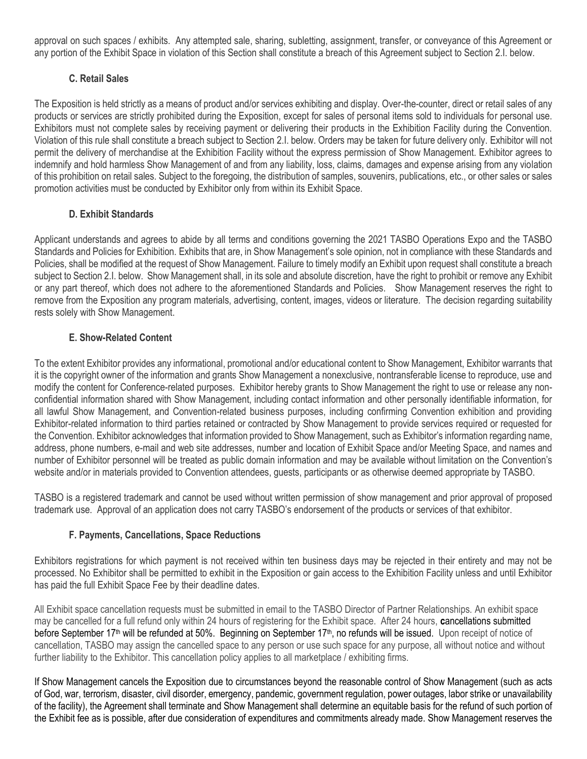approval on such spaces / exhibits. Any attempted sale, sharing, subletting, assignment, transfer, or conveyance of this Agreement or any portion of the Exhibit Space in violation of this Section shall constitute a breach of this Agreement subject to Section 2.I. below.

## **C. Retail Sales**

The Exposition is held strictly as a means of product and/or services exhibiting and display. Over-the-counter, direct or retail sales of any products or services are strictly prohibited during the Exposition, except for sales of personal items sold to individuals for personal use. Exhibitors must not complete sales by receiving payment or delivering their products in the Exhibition Facility during the Convention. Violation of this rule shall constitute a breach subject to Section 2.I. below. Orders may be taken for future delivery only. Exhibitor will not permit the delivery of merchandise at the Exhibition Facility without the express permission of Show Management. Exhibitor agrees to indemnify and hold harmless Show Management of and from any liability, loss, claims, damages and expense arising from any violation of this prohibition on retail sales. Subject to the foregoing, the distribution of samples, souvenirs, publications, etc., or other sales or sales promotion activities must be conducted by Exhibitor only from within its Exhibit Space.

## **D. Exhibit Standards**

Applicant understands and agrees to abide by all terms and conditions governing the 2021 TASBO Operations Expo and the TASBO Standards and Policies for Exhibition. Exhibits that are, in Show Management's sole opinion, not in compliance with these Standards and Policies, shall be modified at the request of Show Management. Failure to timely modify an Exhibit upon request shall constitute a breach subject to Section 2.I. below. Show Management shall, in its sole and absolute discretion, have the right to prohibit or remove any Exhibit or any part thereof, which does not adhere to the aforementioned Standards and Policies. Show Management reserves the right to remove from the Exposition any program materials, advertising, content, images, videos or literature. The decision regarding suitability rests solely with Show Management.

## **E. Show-Related Content**

To the extent Exhibitor provides any informational, promotional and/or educational content to Show Management, Exhibitor warrants that it is the copyright owner of the information and grants Show Management a nonexclusive, nontransferable license to reproduce, use and modify the content for Conference-related purposes. Exhibitor hereby grants to Show Management the right to use or release any nonconfidential information shared with Show Management, including contact information and other personally identifiable information, for all lawful Show Management, and Convention-related business purposes, including confirming Convention exhibition and providing Exhibitor-related information to third parties retained or contracted by Show Management to provide services required or requested for the Convention. Exhibitor acknowledges that information provided to Show Management, such as Exhibitor's information regarding name, address, phone numbers, e-mail and web site addresses, number and location of Exhibit Space and/or Meeting Space, and names and number of Exhibitor personnel will be treated as public domain information and may be available without limitation on the Convention's website and/or in materials provided to Convention attendees, guests, participants or as otherwise deemed appropriate by TASBO.

TASBO is a registered trademark and cannot be used without written permission of show management and prior approval of proposed trademark use. Approval of an application does not carry TASBO's endorsement of the products or services of that exhibitor.

## **F. Payments, Cancellations, Space Reductions**

Exhibitors registrations for which payment is not received within ten business days may be rejected in their entirety and may not be processed. No Exhibitor shall be permitted to exhibit in the Exposition or gain access to the Exhibition Facility unless and until Exhibitor has paid the full Exhibit Space Fee by their deadline dates.

All Exhibit space cancellation requests must be submitted in email to the TASBO Director of Partner Relationships. An exhibit space may be cancelled for a full refund only within 24 hours of registering for the Exhibit space. After 24 hours, **c**ancellations submitted before September 17<sup>th</sup> will be refunded at 50%. Beginning on September 17<sup>th</sup>, no refunds will be issued. Upon receipt of notice of cancellation, TASBO may assign the cancelled space to any person or use such space for any purpose, all without notice and without further liability to the Exhibitor. This cancellation policy applies to all marketplace / exhibiting firms.

If Show Management cancels the Exposition due to circumstances beyond the reasonable control of Show Management (such as acts of God, war, terrorism, disaster, civil disorder, emergency, pandemic, government regulation, power outages, labor strike or unavailability of the facility), the Agreement shall terminate and Show Management shall determine an equitable basis for the refund of such portion of the Exhibit fee as is possible, after due consideration of expenditures and commitments already made. Show Management reserves the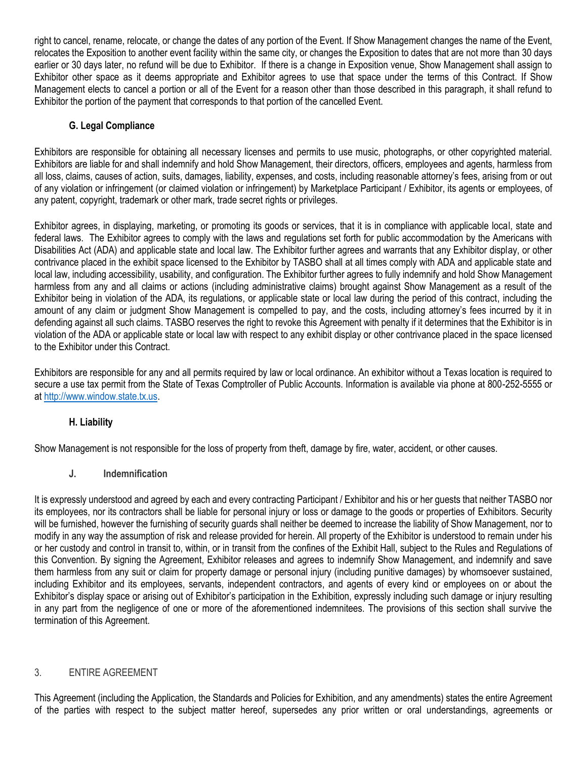right to cancel, rename, relocate, or change the dates of any portion of the Event. If Show Management changes the name of the Event, relocates the Exposition to another event facility within the same city, or changes the Exposition to dates that are not more than 30 days earlier or 30 days later, no refund will be due to Exhibitor. If there is a change in Exposition venue, Show Management shall assign to Exhibitor other space as it deems appropriate and Exhibitor agrees to use that space under the terms of this Contract. If Show Management elects to cancel a portion or all of the Event for a reason other than those described in this paragraph, it shall refund to Exhibitor the portion of the payment that corresponds to that portion of the cancelled Event.

## **G. Legal Compliance**

Exhibitors are responsible for obtaining all necessary licenses and permits to use music, photographs, or other copyrighted material. Exhibitors are liable for and shall indemnify and hold Show Management, their directors, officers, employees and agents, harmless from all loss, claims, causes of action, suits, damages, liability, expenses, and costs, including reasonable attorney's fees, arising from or out of any violation or infringement (or claimed violation or infringement) by Marketplace Participant / Exhibitor, its agents or employees, of any patent, copyright, trademark or other mark, trade secret rights or privileges.

Exhibitor agrees, in displaying, marketing, or promoting its goods or services, that it is in compliance with applicable local, state and federal laws. The Exhibitor agrees to comply with the laws and regulations set forth for public accommodation by the Americans with Disabilities Act (ADA) and applicable state and local law. The Exhibitor further agrees and warrants that any Exhibitor display, or other contrivance placed in the exhibit space licensed to the Exhibitor by TASBO shall at all times comply with ADA and applicable state and local law, including accessibility, usability, and configuration. The Exhibitor further agrees to fully indemnify and hold Show Management harmless from any and all claims or actions (including administrative claims) brought against Show Management as a result of the Exhibitor being in violation of the ADA, its regulations, or applicable state or local law during the period of this contract, including the amount of any claim or judgment Show Management is compelled to pay, and the costs, including attorney's fees incurred by it in defending against all such claims. TASBO reserves the right to revoke this Agreement with penalty if it determines that the Exhibitor is in violation of the ADA or applicable state or local law with respect to any exhibit display or other contrivance placed in the space licensed to the Exhibitor under this Contract.

Exhibitors are responsible for any and all permits required by law or local ordinance. An exhibitor without a Texas location is required to secure a use tax permit from the State of Texas Comptroller of Public Accounts. Information is available via phone at 800-252-5555 or at [http://www.window.state.tx.us.](http://www.window.state.tx.us/)

### **H. Liability**

Show Management is not responsible for the loss of property from theft, damage by fire, water, accident, or other causes.

### **J. Indemnification**

It is expressly understood and agreed by each and every contracting Participant / Exhibitor and his or her guests that neither TASBO nor its employees, nor its contractors shall be liable for personal injury or loss or damage to the goods or properties of Exhibitors. Security will be furnished, however the furnishing of security guards shall neither be deemed to increase the liability of Show Management, nor to modify in any way the assumption of risk and release provided for herein. All property of the Exhibitor is understood to remain under his or her custody and control in transit to, within, or in transit from the confines of the Exhibit Hall, subject to the Rules and Regulations of this Convention. By signing the Agreement, Exhibitor releases and agrees to indemnify Show Management, and indemnify and save them harmless from any suit or claim for property damage or personal injury (including punitive damages) by whomsoever sustained, including Exhibitor and its employees, servants, independent contractors, and agents of every kind or employees on or about the Exhibitor's display space or arising out of Exhibitor's participation in the Exhibition, expressly including such damage or injury resulting in any part from the negligence of one or more of the aforementioned indemnitees. The provisions of this section shall survive the termination of this Agreement.

### 3. ENTIRE AGREEMENT

This Agreement (including the Application, the Standards and Policies for Exhibition, and any amendments) states the entire Agreement of the parties with respect to the subject matter hereof, supersedes any prior written or oral understandings, agreements or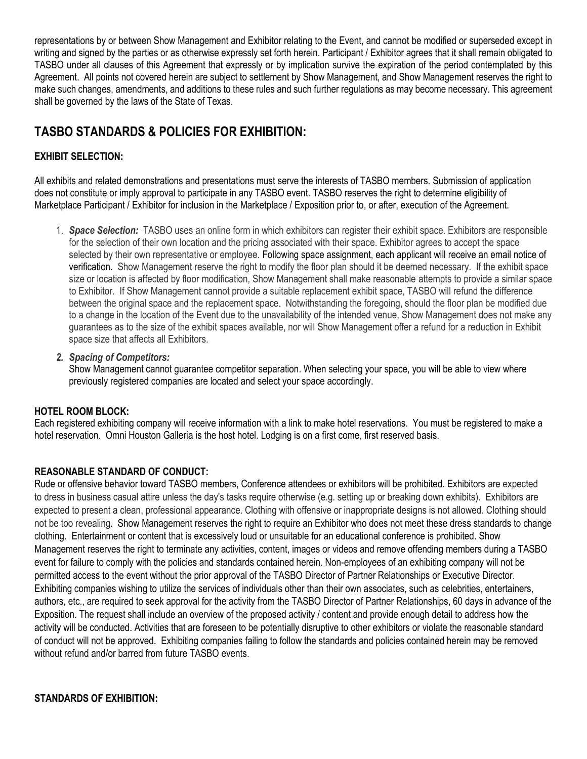representations by or between Show Management and Exhibitor relating to the Event, and cannot be modified or superseded except in writing and signed by the parties or as otherwise expressly set forth herein. Participant / Exhibitor agrees that it shall remain obligated to TASBO under all clauses of this Agreement that expressly or by implication survive the expiration of the period contemplated by this Agreement. All points not covered herein are subject to settlement by Show Management, and Show Management reserves the right to make such changes, amendments, and additions to these rules and such further regulations as may become necessary. This agreement shall be governed by the laws of the State of Texas.

# **TASBO STANDARDS & POLICIES FOR EXHIBITION:**

# **EXHIBIT SELECTION:**

All exhibits and related demonstrations and presentations must serve the interests of TASBO members. Submission of application does not constitute or imply approval to participate in any TASBO event. TASBO reserves the right to determine eligibility of Marketplace Participant / Exhibitor for inclusion in the Marketplace / Exposition prior to, or after, execution of the Agreement.

- 1. *Space Selection:* TASBO uses an online form in which exhibitors can register their exhibit space. Exhibitors are responsible for the selection of their own location and the pricing associated with their space. Exhibitor agrees to accept the space selected by their own representative or employee. Following space assignment, each applicant will receive an email notice of verification. Show Management reserve the right to modify the floor plan should it be deemed necessary. If the exhibit space size or location is affected by floor modification, Show Management shall make reasonable attempts to provide a similar space to Exhibitor. If Show Management cannot provide a suitable replacement exhibit space, TASBO will refund the difference between the original space and the replacement space. Notwithstanding the foregoing, should the floor plan be modified due to a change in the location of the Event due to the unavailability of the intended venue, Show Management does not make any guarantees as to the size of the exhibit spaces available, nor will Show Management offer a refund for a reduction in Exhibit space size that affects all Exhibitors.
- *2. Spacing of Competitors:*

Show Management cannot guarantee competitor separation. When selecting your space, you will be able to view where previously registered companies are located and select your space accordingly.

## **HOTEL ROOM BLOCK:**

Each registered exhibiting company will receive information with a link to make hotel reservations. You must be registered to make a hotel reservation. Omni Houston Galleria is the host hotel. Lodging is on a first come, first reserved basis.

## **REASONABLE STANDARD OF CONDUCT:**

Rude or offensive behavior toward TASBO members, Conference attendees or exhibitors will be prohibited. Exhibitors are expected to dress in business casual attire unless the day's tasks require otherwise (e.g. setting up or breaking down exhibits). Exhibitors are expected to present a clean, professional appearance. Clothing with offensive or inappropriate designs is not allowed. Clothing should not be too revealing. Show Management reserves the right to require an Exhibitor who does not meet these dress standards to change clothing. Entertainment or content that is excessively loud or unsuitable for an educational conference is prohibited. Show Management reserves the right to terminate any activities, content, images or videos and remove offending members during a TASBO event for failure to comply with the policies and standards contained herein. Non-employees of an exhibiting company will not be permitted access to the event without the prior approval of the TASBO Director of Partner Relationships or Executive Director. Exhibiting companies wishing to utilize the services of individuals other than their own associates, such as celebrities, entertainers, authors, etc., are required to seek approval for the activity from the TASBO Director of Partner Relationships, 60 days in advance of the Exposition. The request shall include an overview of the proposed activity / content and provide enough detail to address how the activity will be conducted. Activities that are foreseen to be potentially disruptive to other exhibitors or violate the reasonable standard of conduct will not be approved. Exhibiting companies failing to follow the standards and policies contained herein may be removed without refund and/or barred from future TASBO events.

### **STANDARDS OF EXHIBITION:**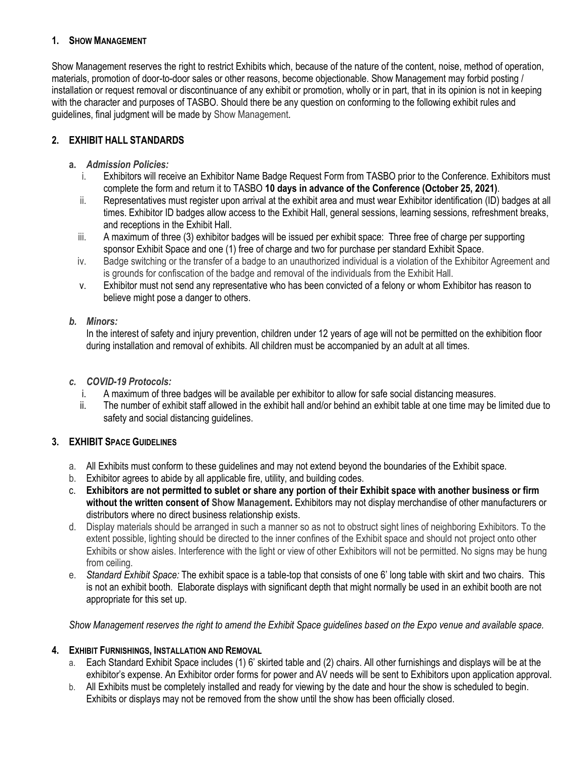### **1. SHOW MANAGEMENT**

Show Management reserves the right to restrict Exhibits which, because of the nature of the content, noise, method of operation, materials, promotion of door-to-door sales or other reasons, become objectionable. Show Management may forbid posting / installation or request removal or discontinuance of any exhibit or promotion, wholly or in part, that in its opinion is not in keeping with the character and purposes of TASBO. Should there be any question on conforming to the following exhibit rules and guidelines, final judgment will be made by Show Management.

## **2. EXHIBIT HALL STANDARDS**

## **a.** *Admission Policies:*

- i. Exhibitors will receive an Exhibitor Name Badge Request Form from TASBO prior to the Conference. Exhibitors must complete the form and return it to TASBO **10 days in advance of the Conference (October 25, 2021)**.
- ii. Representatives must register upon arrival at the exhibit area and must wear Exhibitor identification (ID) badges at all times. Exhibitor ID badges allow access to the Exhibit Hall, general sessions, learning sessions, refreshment breaks, and receptions in the Exhibit Hall.
- iii. A maximum of three (3) exhibitor badges will be issued per exhibit space: Three free of charge per supporting sponsor Exhibit Space and one (1) free of charge and two for purchase per standard Exhibit Space.
- iv. Badge switching or the transfer of a badge to an unauthorized individual is a violation of the Exhibitor Agreement and is grounds for confiscation of the badge and removal of the individuals from the Exhibit Hall.
- v. Exhibitor must not send any representative who has been convicted of a felony or whom Exhibitor has reason to believe might pose a danger to others.

## *b. Minors:*

In the interest of safety and injury prevention, children under 12 years of age will not be permitted on the exhibition floor during installation and removal of exhibits. All children must be accompanied by an adult at all times.

## *c. COVID-19 Protocols:*

- i. A maximum of three badges will be available per exhibitor to allow for safe social distancing measures.
- ii. The number of exhibit staff allowed in the exhibit hall and/or behind an exhibit table at one time may be limited due to safety and social distancing guidelines.

## **3. EXHIBIT SPACE GUIDELINES**

- a. All Exhibits must conform to these guidelines and may not extend beyond the boundaries of the Exhibit space.
- b. Exhibitor agrees to abide by all applicable fire, utility, and building codes.
- c. **Exhibitors are not permitted to sublet or share any portion of their Exhibit space with another business or firm without the written consent of Show Management.** Exhibitors may not display merchandise of other manufacturers or distributors where no direct business relationship exists.
- d. Display materials should be arranged in such a manner so as not to obstruct sight lines of neighboring Exhibitors. To the extent possible, lighting should be directed to the inner confines of the Exhibit space and should not project onto other Exhibits or show aisles. Interference with the light or view of other Exhibitors will not be permitted. No signs may be hung from ceiling.
- e. *Standard Exhibit Space:* The exhibit space is a table-top that consists of one 6' long table with skirt and two chairs. This is not an exhibit booth. Elaborate displays with significant depth that might normally be used in an exhibit booth are not appropriate for this set up.

*Show Management reserves the right to amend the Exhibit Space guidelines based on the Expo venue and available space.*

### **4. EXHIBIT FURNISHINGS, INSTALLATION AND REMOVAL**

- a. Each Standard Exhibit Space includes (1) 6' skirted table and (2) chairs. All other furnishings and displays will be at the exhibitor's expense. An Exhibitor order forms for power and AV needs will be sent to Exhibitors upon application approval.
- b. All Exhibits must be completely installed and ready for viewing by the date and hour the show is scheduled to begin. Exhibits or displays may not be removed from the show until the show has been officially closed.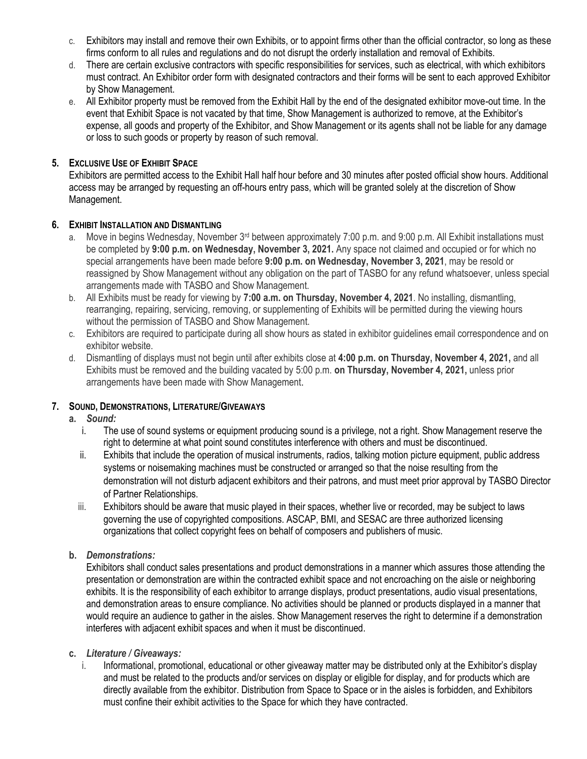- c. Exhibitors may install and remove their own Exhibits, or to appoint firms other than the official contractor, so long as these firms conform to all rules and regulations and do not disrupt the orderly installation and removal of Exhibits.
- d. There are certain exclusive contractors with specific responsibilities for services, such as electrical, with which exhibitors must contract. An Exhibitor order form with designated contractors and their forms will be sent to each approved Exhibitor by Show Management.
- e. All Exhibitor property must be removed from the Exhibit Hall by the end of the designated exhibitor move-out time. In the event that Exhibit Space is not vacated by that time, Show Management is authorized to remove, at the Exhibitor's expense, all goods and property of the Exhibitor, and Show Management or its agents shall not be liable for any damage or loss to such goods or property by reason of such removal.

### **5. EXCLUSIVE USE OF EXHIBIT SPACE**

Exhibitors are permitted access to the Exhibit Hall half hour before and 30 minutes after posted official show hours. Additional access may be arranged by requesting an off-hours entry pass, which will be granted solely at the discretion of Show Management.

#### **6. EXHIBIT INSTALLATION AND DISMANTLING**

- a. Move in begins Wednesday, November 3<sup>rd</sup> between approximately 7:00 p.m. and 9:00 p.m. All Exhibit installations must be completed by **9:00 p.m. on Wednesday, November 3, 2021.** Any space not claimed and occupied or for which no special arrangements have been made before **9:00 p.m. on Wednesday, November 3, 2021**, may be resold or reassigned by Show Management without any obligation on the part of TASBO for any refund whatsoever, unless special arrangements made with TASBO and Show Management.
- b. All Exhibits must be ready for viewing by **7:00 a.m. on Thursday, November 4, 2021**. No installing, dismantling, rearranging, repairing, servicing, removing, or supplementing of Exhibits will be permitted during the viewing hours without the permission of TASBO and Show Management.
- c. Exhibitors are required to participate during all show hours as stated in exhibitor guidelines email correspondence and on exhibitor website.
- d. Dismantling of displays must not begin until after exhibits close at **4:00 p.m. on Thursday, November 4, 2021,** and all Exhibits must be removed and the building vacated by 5:00 p.m. **on Thursday, November 4, 2021,** unless prior arrangements have been made with Show Management.

### **7. SOUND, DEMONSTRATIONS, LITERATURE/GIVEAWAYS**

- **a.** *Sound:*
	- i. The use of sound systems or equipment producing sound is a privilege, not a right. Show Management reserve the right to determine at what point sound constitutes interference with others and must be discontinued.
	- ii. Exhibits that include the operation of musical instruments, radios, talking motion picture equipment, public address systems or noisemaking machines must be constructed or arranged so that the noise resulting from the demonstration will not disturb adjacent exhibitors and their patrons, and must meet prior approval by TASBO Director of Partner Relationships.
	- iii. Exhibitors should be aware that music played in their spaces, whether live or recorded, may be subject to laws governing the use of copyrighted compositions. ASCAP, BMI, and SESAC are three authorized licensing organizations that collect copyright fees on behalf of composers and publishers of music.

### **b.** *Demonstrations:*

Exhibitors shall conduct sales presentations and product demonstrations in a manner which assures those attending the presentation or demonstration are within the contracted exhibit space and not encroaching on the aisle or neighboring exhibits. It is the responsibility of each exhibitor to arrange displays, product presentations, audio visual presentations, and demonstration areas to ensure compliance. No activities should be planned or products displayed in a manner that would require an audience to gather in the aisles. Show Management reserves the right to determine if a demonstration interferes with adjacent exhibit spaces and when it must be discontinued.

- **c.** *Literature / Giveaways:*
	- i. Informational, promotional, educational or other giveaway matter may be distributed only at the Exhibitor's display and must be related to the products and/or services on display or eligible for display, and for products which are directly available from the exhibitor. Distribution from Space to Space or in the aisles is forbidden, and Exhibitors must confine their exhibit activities to the Space for which they have contracted.